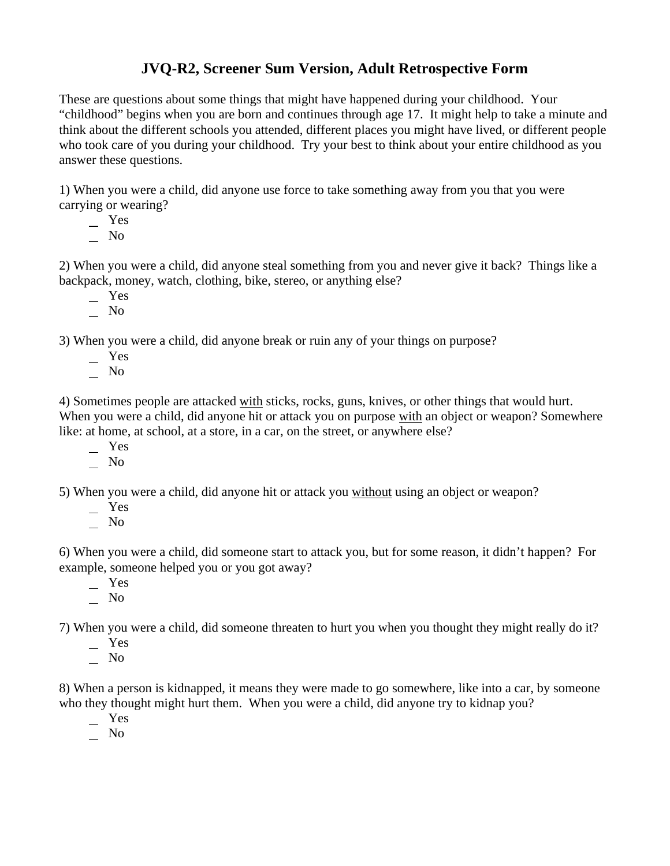## **JVQ-R2, Screener Sum Version, Adult Retrospective Form**

These are questions about some things that might have happened during your childhood. Your "childhood" begins when you are born and continues through age 17. It might help to take a minute and think about the different schools you attended, different places you might have lived, or different people who took care of you during your childhood. Try your best to think about your entire childhood as you answer these questions.

1) When you were a child, did anyone use force to take something away from you that you were carrying or wearing?

 Yes  $\overline{\phantom{0}}$  No

2) When you were a child, did anyone steal something from you and never give it back? Things like a backpack, money, watch, clothing, bike, stereo, or anything else?

- Yes
- $\overline{\phantom{0}}$  No

3) When you were a child, did anyone break or ruin any of your things on purpose?

- Yes
- No

4) Sometimes people are attacked with sticks, rocks, guns, knives, or other things that would hurt. When you were a child, did anyone hit or attack you on purpose with an object or weapon? Somewhere like: at home, at school, at a store, in a car, on the street, or anywhere else?

- $-$  Yes
- $\overline{\phantom{0}}$  No

5) When you were a child, did anyone hit or attack you without using an object or weapon?

- Yes
- $\overline{\phantom{0}}$  No

6) When you were a child, did someone start to attack you, but for some reason, it didn't happen? For example, someone helped you or you got away?

 Yes No

7) When you were a child, did someone threaten to hurt you when you thought they might really do it?

- Yes
- $\overline{\phantom{0}}$  No

8) When a person is kidnapped, it means they were made to go somewhere, like into a car, by someone who they thought might hurt them. When you were a child, did anyone try to kidnap you?

Yes

No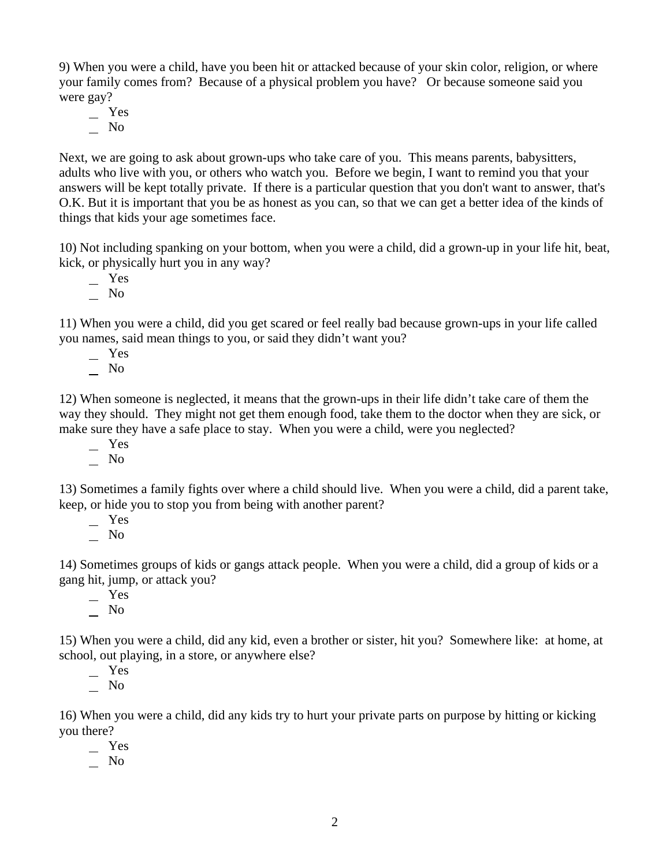9) When you were a child, have you been hit or attacked because of your skin color, religion, or where your family comes from? Because of a physical problem you have? Or because someone said you were gay?

 Yes  $\overline{\phantom{0}}$  No

Next, we are going to ask about grown-ups who take care of you. This means parents, babysitters, adults who live with you, or others who watch you. Before we begin, I want to remind you that your answers will be kept totally private. If there is a particular question that you don't want to answer, that's O.K. But it is important that you be as honest as you can, so that we can get a better idea of the kinds of things that kids your age sometimes face.

10) Not including spanking on your bottom, when you were a child, did a grown-up in your life hit, beat, kick, or physically hurt you in any way?

 Yes No

11) When you were a child, did you get scared or feel really bad because grown-ups in your life called you names, said mean things to you, or said they didn't want you?

Yes

 $\overline{\phantom{0}}$  No

12) When someone is neglected, it means that the grown-ups in their life didn't take care of them the way they should. They might not get them enough food, take them to the doctor when they are sick, or make sure they have a safe place to stay. When you were a child, were you neglected?

Yes

 $\overline{\phantom{0}}$  No

13) Sometimes a family fights over where a child should live. When you were a child, did a parent take, keep, or hide you to stop you from being with another parent?

Yes

 $\overline{\phantom{0}}$  No

14) Sometimes groups of kids or gangs attack people. When you were a child, did a group of kids or a gang hit, jump, or attack you?

 Yes  $\overline{\phantom{a}}$  No

15) When you were a child, did any kid, even a brother or sister, hit you? Somewhere like: at home, at school, out playing, in a store, or anywhere else?

 Yes  $\overline{\phantom{a}}$  No

16) When you were a child, did any kids try to hurt your private parts on purpose by hitting or kicking you there?

Yes

 $\overline{\phantom{0}}$  No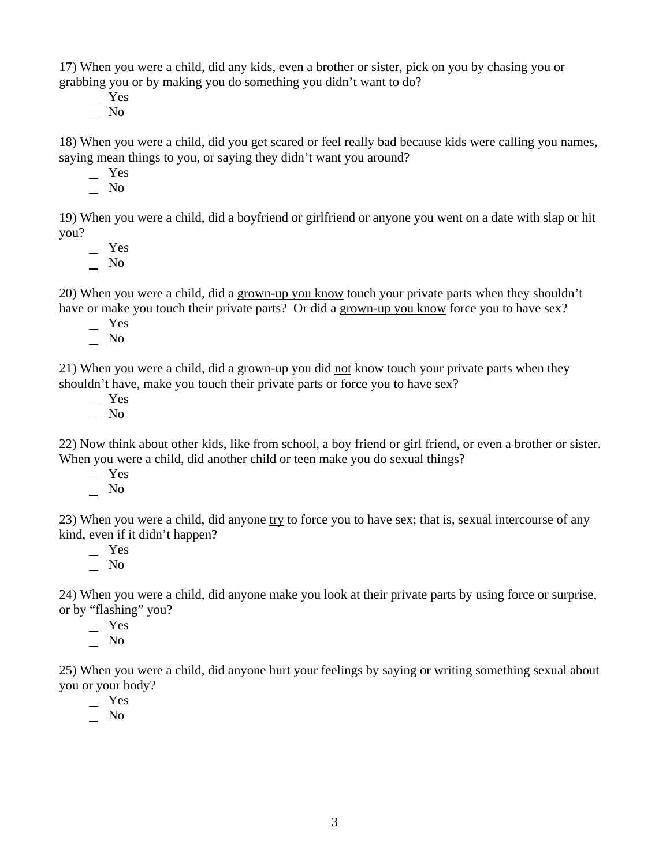17) When you were a child, did any kids, even a brother or sister, pick on you by chasing you or grabbing you or by making you do something you didn't want to do?

Yes

 $\overline{\phantom{a}}$  No

18) When you were a child, did you get scared or feel really bad because kids were calling you names, saying mean things to you, or saying they didn't want you around?

Yes

 $\overline{\phantom{0}}$  No

19) When you were a child, did a boyfriend or girlfriend or anyone you went on a date with slap or hit you?

 Yes  $\overline{\phantom{0}}$  No

20) When you were a child, did a grown-up you know touch your private parts when they shouldn't have or make you touch their private parts? Or did a grown-up you know force you to have sex?

Yes

 $\overline{\phantom{0}}$  No

21) When you were a child, did a grown-up you did not know touch your private parts when they shouldn't have, make you touch their private parts or force you to have sex?

 $-$  Yes

 $\overline{\phantom{a}}$  No

22) Now think about other kids, like from school, a boy friend or girl friend, or even a brother or sister. When you were a child, did another child or teen make you do sexual things?

Yes

 $\overline{\phantom{0}}$  No

23) When you were a child, did anyone try to force you to have sex; that is, sexual intercourse of any kind, even if it didn't happen?

Yes

No

24) When you were a child, did anyone make you look at their private parts by using force or surprise, or by "flashing" you?

Yes

 $\overline{\phantom{a}}$  No

25) When you were a child, did anyone hurt your feelings by saying or writing something sexual about you or your body?

Yes

No